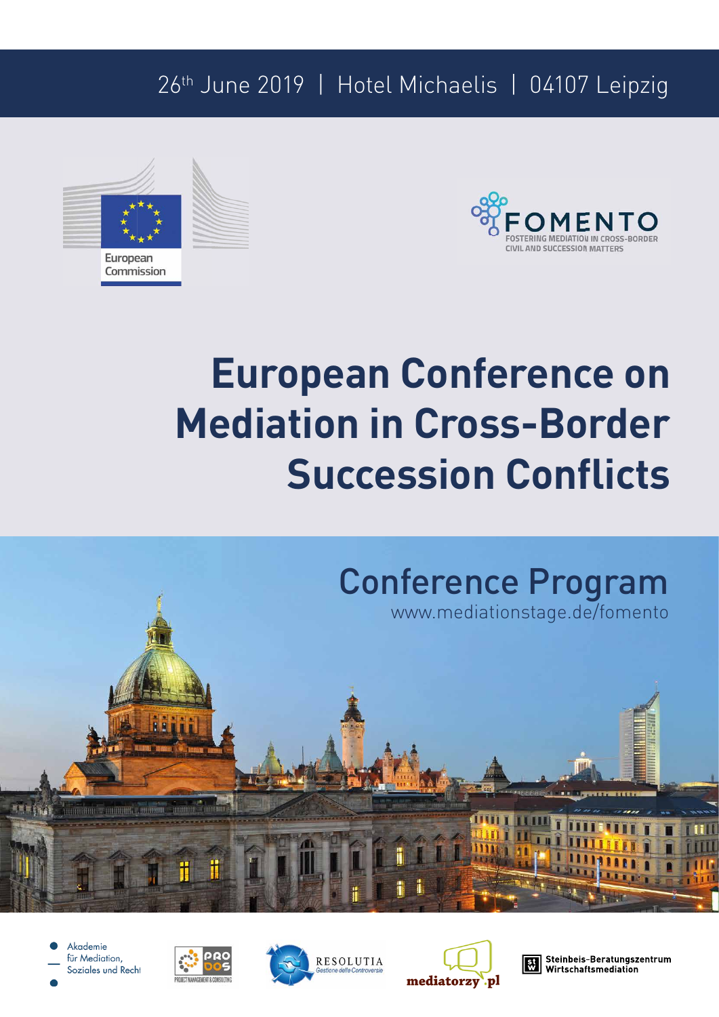## 26th June 2019 | Hotel Michaelis | 04107 Leipzig





# **European Conference on Mediation in Cross-Border Succession Conflicts**









Steinbeis-Beratungszentrum<br>Wirtschaftsmediation l ≌l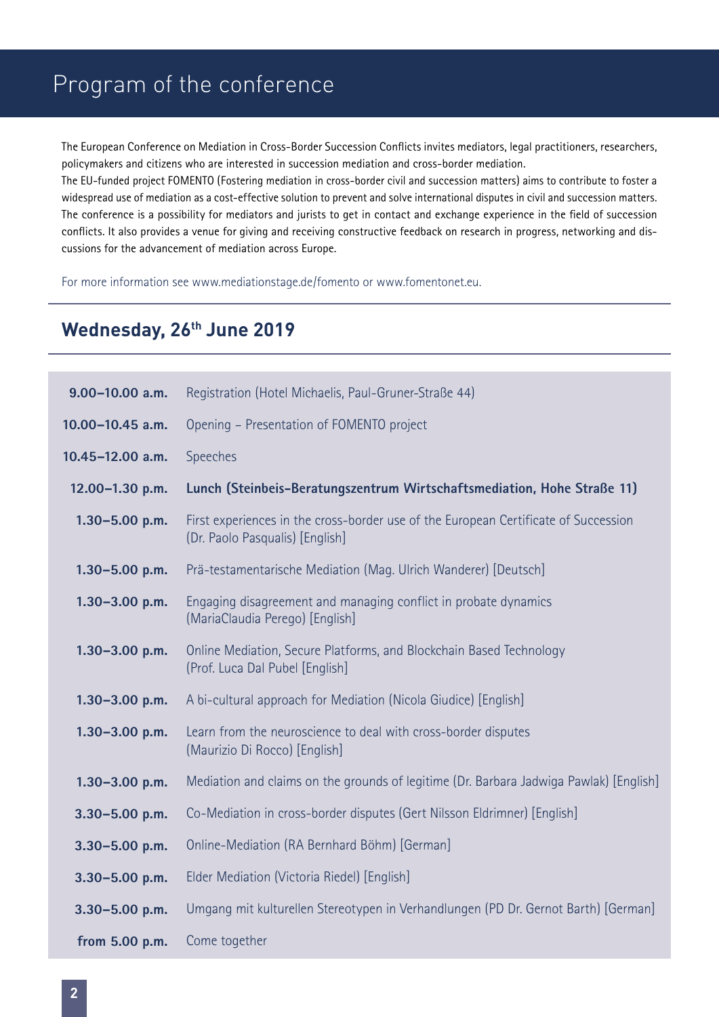### Program of the conference

The European Conference on Mediation in Cross-Border Succession Conflicts invites mediators, legal practitioners, researchers, policymakers and citizens who are interested in succession mediation and cross-border mediation.

The EU-funded project FOMENTO (Fostering mediation in cross-border civil and succession matters) aims to contribute to foster a widespread use of mediation as a cost-effective solution to prevent and solve international disputes in civil and succession matters. The conference is a possibility for mediators and jurists to get in contact and exchange experience in the field of succession conflicts. It also provides a venue for giving and receiving constructive feedback on research in progress, networking and discussions for the advancement of mediation across Europe.

For more information see www.mediationstage.de/fomento or www.fomentonet.eu.

### **Wednesday, 26th June 2019**

| $9.00 - 10.00$ a.m. | Registration (Hotel Michaelis, Paul-Gruner-Straße 44)                                                                  |
|---------------------|------------------------------------------------------------------------------------------------------------------------|
| 10.00-10.45 a.m.    | Opening - Presentation of FOMENTO project                                                                              |
| 10.45-12.00 a.m.    | <b>Speeches</b>                                                                                                        |
| 12.00-1.30 p.m.     | Lunch (Steinbeis-Beratungszentrum Wirtschaftsmediation, Hohe Straße 11)                                                |
| $1.30 - 5.00$ p.m.  | First experiences in the cross-border use of the European Certificate of Succession<br>(Dr. Paolo Pasqualis) [English] |
| $1.30 - 5.00$ p.m.  | Prä-testamentarische Mediation (Mag. Ulrich Wanderer) [Deutsch]                                                        |
| $1.30 - 3.00$ p.m.  | Engaging disagreement and managing conflict in probate dynamics<br>(MariaClaudia Perego) [English]                     |
| $1.30 - 3.00$ p.m.  | Online Mediation, Secure Platforms, and Blockchain Based Technology<br>(Prof. Luca Dal Pubel [English]                 |
| $1.30 - 3.00$ p.m.  | A bi-cultural approach for Mediation (Nicola Giudice) [English]                                                        |
| $1.30 - 3.00$ p.m.  | Learn from the neuroscience to deal with cross-border disputes<br>(Maurizio Di Rocco) [English]                        |
| $1.30 - 3.00$ p.m.  | Mediation and claims on the grounds of legitime (Dr. Barbara Jadwiga Pawlak) [English]                                 |
| $3.30 - 5.00$ p.m.  | Co-Mediation in cross-border disputes (Gert Nilsson Eldrimner) [English]                                               |
| $3.30 - 5.00$ p.m.  | Online-Mediation (RA Bernhard Böhm) [German]                                                                           |
| $3.30 - 5.00$ p.m.  | Elder Mediation (Victoria Riedel) [English]                                                                            |
| $3.30 - 5.00$ p.m.  | Umgang mit kulturellen Stereotypen in Verhandlungen (PD Dr. Gernot Barth) [German]                                     |
| from 5.00 p.m.      | Come together                                                                                                          |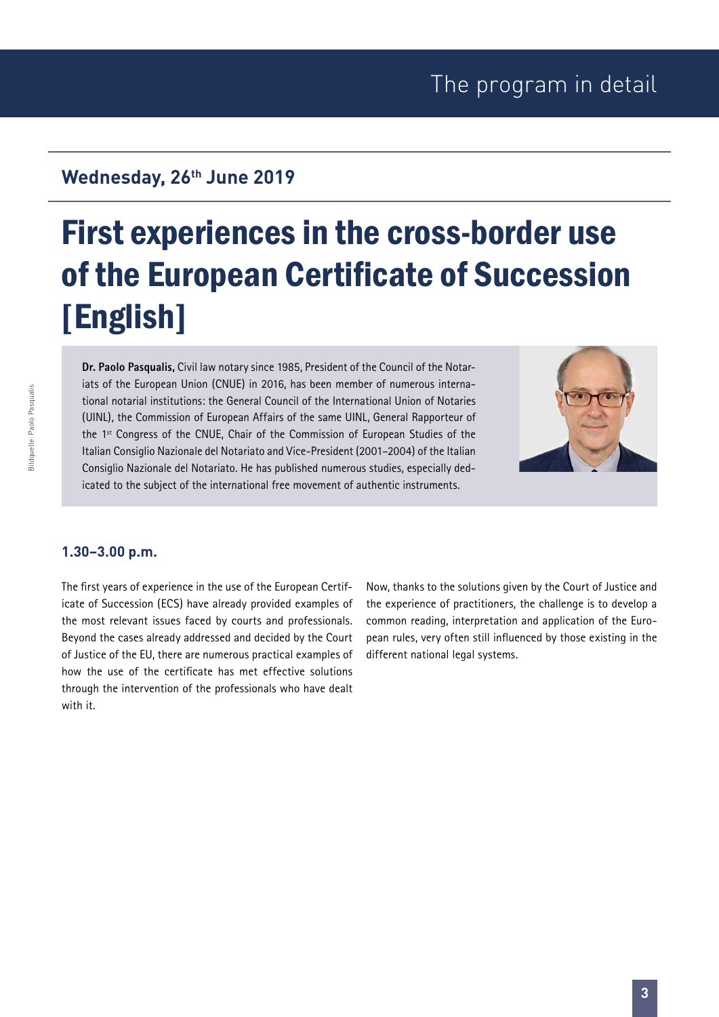## First experiences in the cross-border use of the European Certificate of Succession [English]

**Dr. Paolo Pasqualis,** Civil law notary since 1985, President of the Council of the Notariats of the European Union (CNUE) in 2016, has been member of numerous international notarial institutions: the General Council of the International Union of Notaries (UINL), the Commission of European Affairs of the same UINL, General Rapporteur of the 1<sup>st</sup> Congress of the CNUE, Chair of the Commission of European Studies of the Italian Consiglio Nazionale del Notariato and Vice-President (2001–2004) of the Italian Consiglio Nazionale del Notariato. He has published numerous studies, especially dedicated to the subject of the international free movement of authentic instruments.



#### **1.30–3.00 p.m.**

The first years of experience in the use of the European Certificate of Succession (ECS) have already provided examples of the most relevant issues faced by courts and professionals. Beyond the cases already addressed and decided by the Court of Justice of the EU, there are numerous practical examples of how the use of the certificate has met effective solutions through the intervention of the professionals who have dealt with it.

Now, thanks to the solutions given by the Court of Justice and the experience of practitioners, the challenge is to develop a common reading, interpretation and application of the European rules, very often still influenced by those existing in the different national legal systems.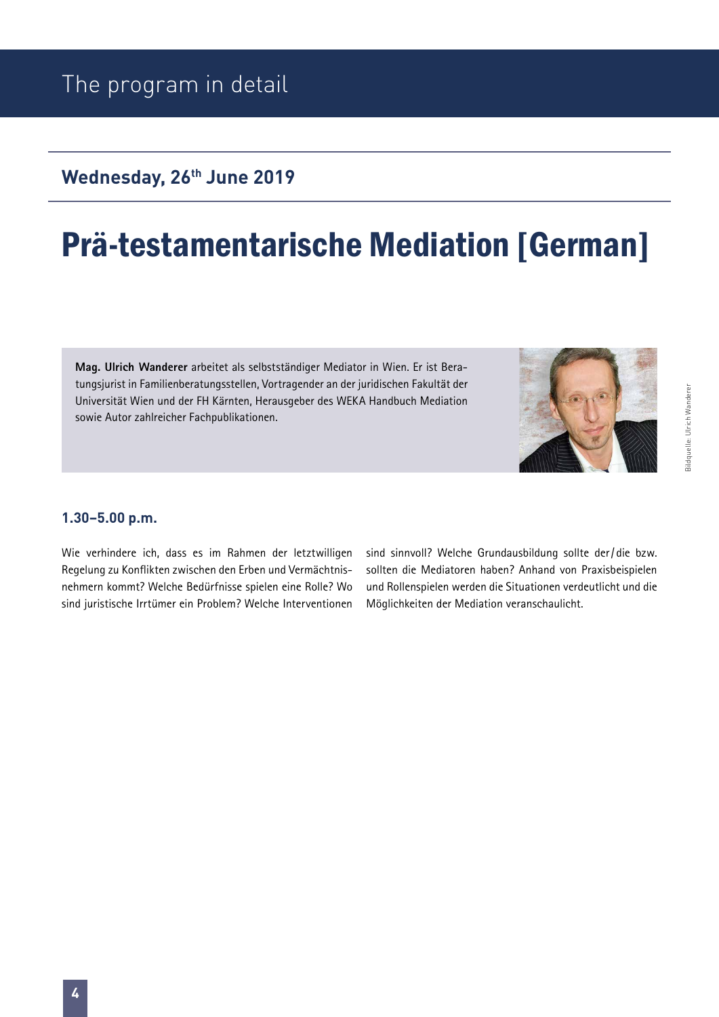## Prä-testamentarische Mediation [German]

**Mag. Ulrich Wanderer** arbeitet als selbstständiger Mediator in Wien. Er ist Beratungsjurist in Familienberatungsstellen, Vortragender an der juridischen Fakultät der Universität Wien und der FH Kärnten, Herausgeber des WEKA Handbuch Mediation sowie Autor zahlreicher Fachpublikationen.



# Bildquelle: Ulrich Wanderer Idquelle: Ulrich Wanderer

#### **1.30–5.00 p.m.**

Wie verhindere ich, dass es im Rahmen der letztwilligen Regelung zu Konflikten zwischen den Erben und Vermächtnisnehmern kommt? Welche Bedürfnisse spielen eine Rolle? Wo sind juristische Irrtümer ein Problem? Welche Interventionen sind sinnvoll? Welche Grundausbildung sollte der/ die bzw. sollten die Mediatoren haben? Anhand von Praxisbeispielen und Rollenspielen werden die Situationen verdeutlicht und die Möglichkeiten der Mediation veranschaulicht.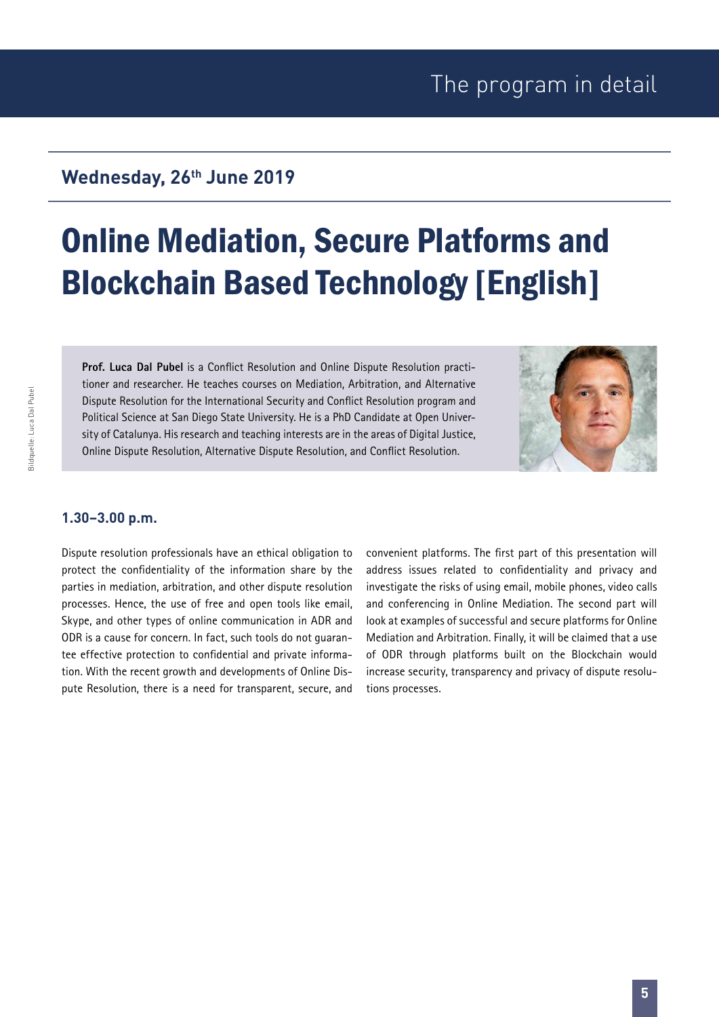## Online Mediation, Secure Platforms and Blockchain Based Technology [English]

**Prof. Luca Dal Pubel** is a Conflict Resolution and Online Dispute Resolution practitioner and researcher. He teaches courses on Mediation, Arbitration, and Alternative Dispute Resolution for the International Security and Conflict Resolution program and Political Science at San Diego State University. He is a PhD Candidate at Open University of Catalunya. His research and teaching interests are in the areas of Digital Justice, Online Dispute Resolution, Alternative Dispute Resolution, and Conflict Resolution.



#### **1.30–3.00 p.m.**

Dispute resolution professionals have an ethical obligation to protect the confidentiality of the information share by the parties in mediation, arbitration, and other dispute resolution processes. Hence, the use of free and open tools like email, Skype, and other types of online communication in ADR and ODR is a cause for concern. In fact, such tools do not guarantee effective protection to confidential and private information. With the recent growth and developments of Online Dispute Resolution, there is a need for transparent, secure, and convenient platforms. The first part of this presentation will address issues related to confidentiality and privacy and investigate the risks of using email, mobile phones, video calls and conferencing in Online Mediation. The second part will look at examples of successful and secure platforms for Online Mediation and Arbitration. Finally, it will be claimed that a use of ODR through platforms built on the Blockchain would increase security, transparency and privacy of dispute resolutions processes.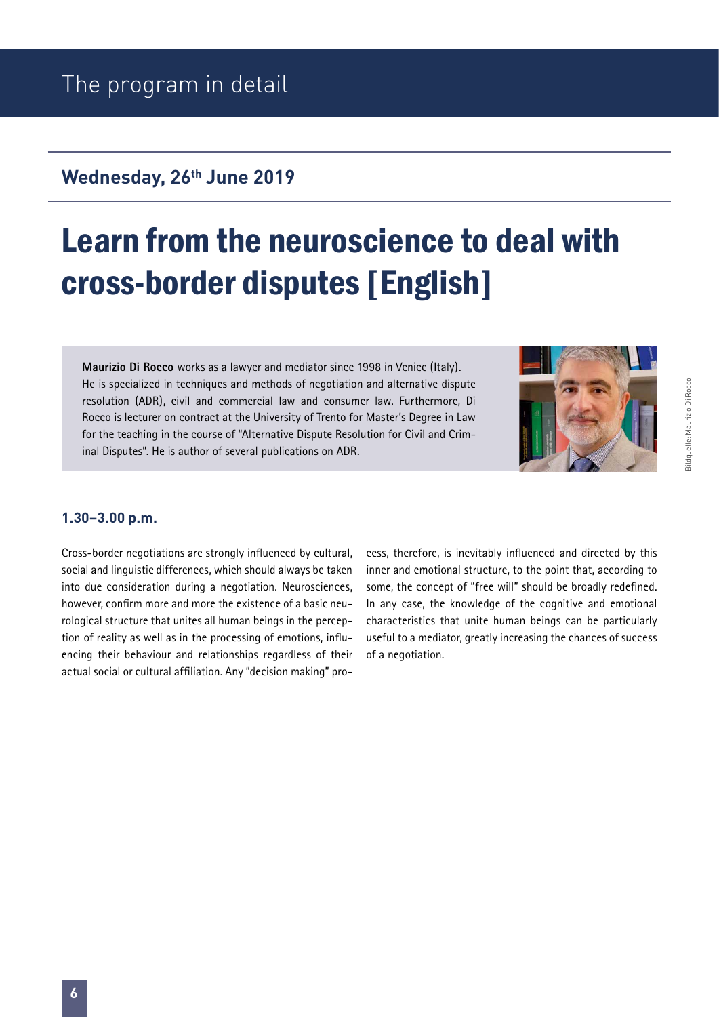## Learn from the neuroscience to deal with cross-border disputes [English]

**Maurizio Di Rocco** works as a lawyer and mediator since 1998 in Venice (Italy). He is specialized in techniques and methods of negotiation and alternative dispute resolution (ADR), civil and commercial law and consumer law. Furthermore, Di Rocco is lecturer on contract at the University of Trento for Master's Degree in Law for the teaching in the course of "Alternative Dispute Resolution for Civil and Criminal Disputes". He is author of several publications on ADR.



#### **1.30–3.00 p.m.**

Cross-border negotiations are strongly influenced by cultural, social and linguistic differences, which should always be taken into due consideration during a negotiation. Neurosciences, however, confirm more and more the existence of a basic neurological structure that unites all human beings in the perception of reality as well as in the processing of emotions, influencing their behaviour and relationships regardless of their actual social or cultural affiliation. Any "decision making" process, therefore, is inevitably influenced and directed by this inner and emotional structure, to the point that, according to some, the concept of "free will" should be broadly redefined. In any case, the knowledge of the cognitive and emotional characteristics that unite human beings can be particularly useful to a mediator, greatly increasing the chances of success of a negotiation.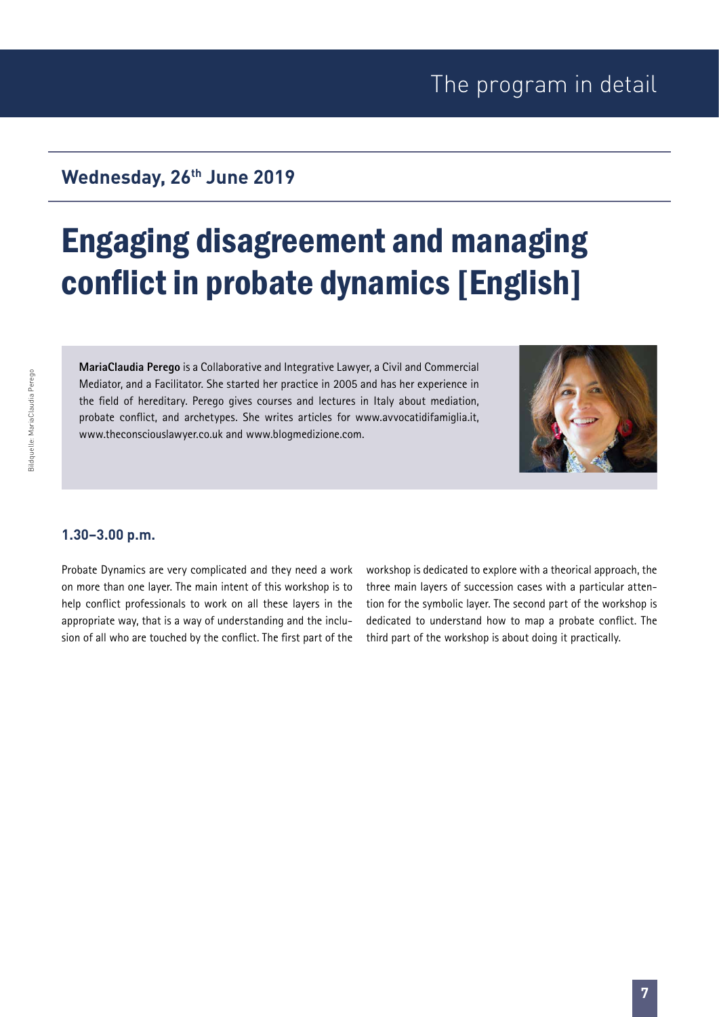### **Wednesday, 26th June 2019**

## Engaging disagreement and managing conflict in probate dynamics [English]

**MariaClaudia Perego** is a Collaborative and Integrative Lawyer, a Civil and Commercial Mediator, and a Facilitator. She started her practice in 2005 and has her experience in the field of hereditary. Perego gives courses and lectures in Italy about mediation, probate conflict, and archetypes. She writes articles for www.avvocatidifamiglia.it, www.theconsciouslawyer.co.uk and www.blogmedizione.com.



#### **1.30–3.00 p.m.**

Probate Dynamics are very complicated and they need a work on more than one layer. The main intent of this workshop is to help conflict professionals to work on all these layers in the appropriate way, that is a way of understanding and the inclusion of all who are touched by the conflict. The first part of the workshop is dedicated to explore with a theorical approach, the three main layers of succession cases with a particular attention for the symbolic layer. The second part of the workshop is dedicated to understand how to map a probate conflict. The third part of the workshop is about doing it practically.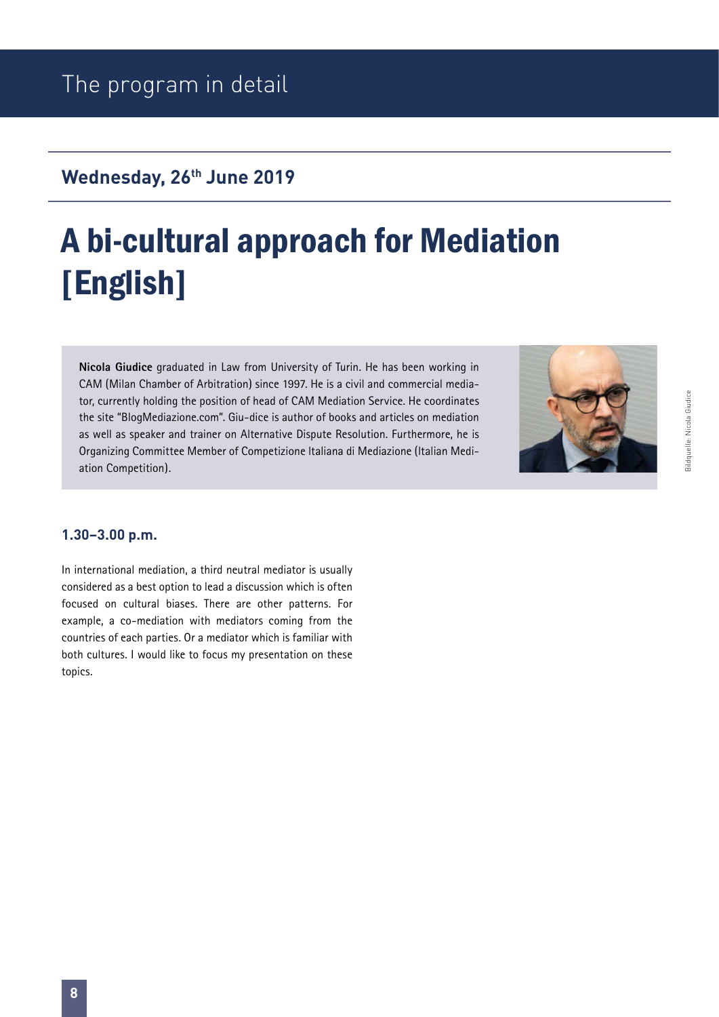# A bi-cultural approach for Mediation [English]

**Nicola Giudice** graduated in Law from University of Turin. He has been working in CAM (Milan Chamber of Arbitration) since 1997. He is a civil and commercial mediator, currently holding the position of head of CAM Mediation Service. He coordinates the site "BlogMediazione.com". Giu-dice is author of books and articles on mediation as well as speaker and trainer on Alternative Dispute Resolution. Furthermore, he is Organizing Committee Member of Competizione ltaliana di Mediazione (ltalian Mediation Competition).



#### **1.30–3.00 p.m.**

In international mediation, a third neutral mediator is usually considered as a best option to lead a discussion which is often focused on cultural biases. There are other patterns. For example, a co-mediation with mediators coming from the countries of each parties. Or a mediator which is familiar with both cultures. I would like to focus my presentation on these topics.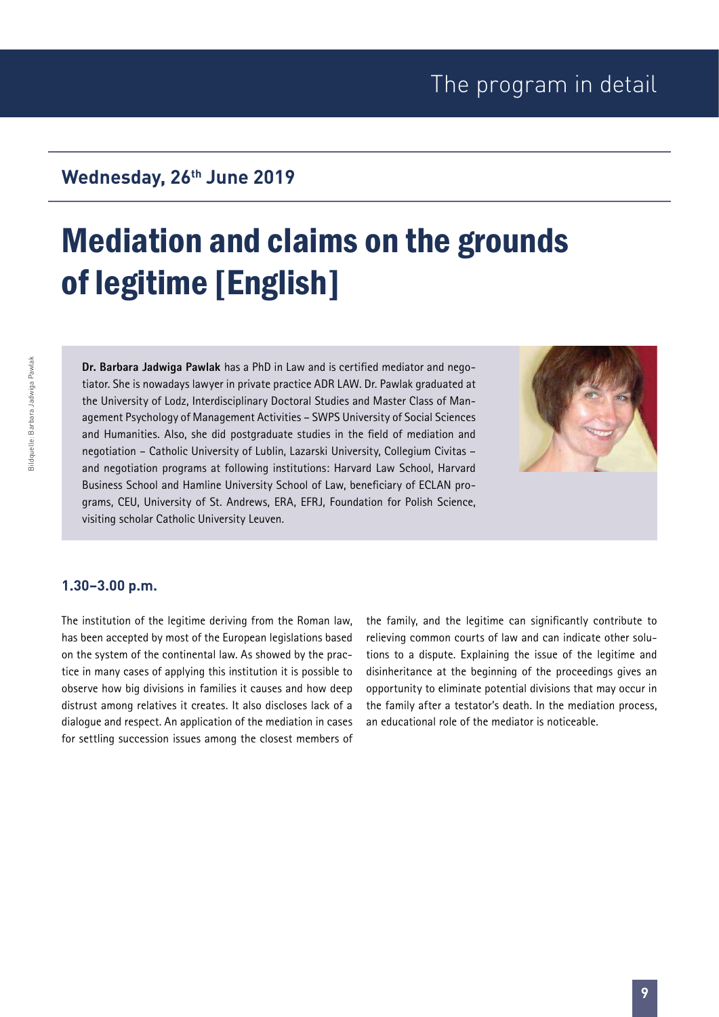## Mediation and claims on the grounds of legitime [English]

**Dr. Barbara Jadwiga Pawlak** has a PhD in Law and is certified mediator and negotiator. She is nowadays lawyer in private practice ADR LAW. Dr. Pawlak graduated at the University of Lodz, Interdisciplinary Doctoral Studies and Master Class of Management Psychology of Management Activities – SWPS University of Social Sciences and Humanities. Also, she did postgraduate studies in the field of mediation and negotiation – Catholic University of Lublin, Lazarski University, Collegium Civitas – and negotiation programs at following institutions: Harvard Law School, Harvard Business School and Hamline University School of Law, beneficiary of ECLAN programs, CEU, University of St. Andrews, ERA, EFRJ, Foundation for Polish Science, visiting scholar Catholic University Leuven.



#### **1.30–3.00 p.m.**

The institution of the legitime deriving from the Roman law, has been accepted by most of the European legislations based on the system of the continental law. As showed by the practice in many cases of applying this institution it is possible to observe how big divisions in families it causes and how deep distrust among relatives it creates. It also discloses lack of a dialogue and respect. An application of the mediation in cases for settling succession issues among the closest members of

the family, and the legitime can significantly contribute to relieving common courts of law and can indicate other solutions to a dispute. Explaining the issue of the legitime and disinheritance at the beginning of the proceedings gives an opportunity to eliminate potential divisions that may occur in the family after a testator's death. In the mediation process, an educational role of the mediator is noticeable.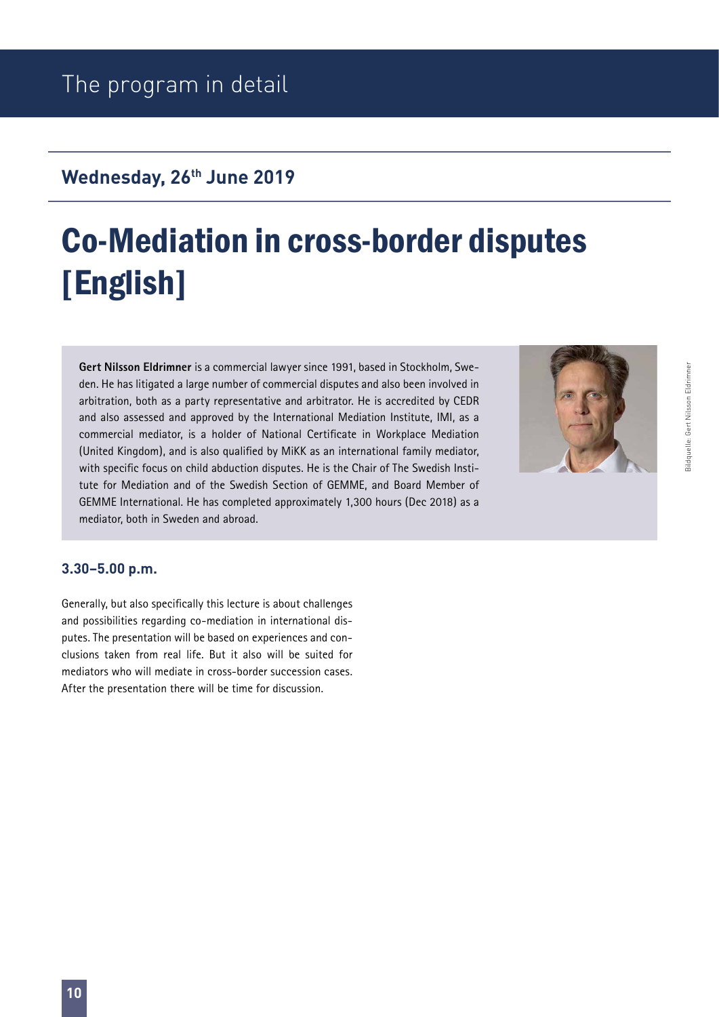# Co-Mediation in cross-border disputes [English]

**Gert Nilsson Eldrimner** is a commercial lawyer since 1991, based in Stockholm, Sweden. He has litigated a large number of commercial disputes and also been involved in arbitration, both as a party representative and arbitrator. He is accredited by CEDR and also assessed and approved by the International Mediation Institute, IMI, as a commercial mediator, is a holder of National Certificate in Workplace Mediation (United Kingdom), and is also qualified by MiKK as an international family mediator, with specific focus on child abduction disputes. He is the Chair of The Swedish Institute for Mediation and of the Swedish Section of GEMME, and Board Member of GEMME International. He has completed approximately 1,300 hours (Dec 2018) as a mediator, both in Sweden and abroad.



Bildquelle: Gert Nilsson Eldrimner

ildquelle: Gert Nilsson Eldrimner

#### **3.30–5.00 p.m.**

Generally, but also specifically this lecture is about challenges and possibilities regarding co-mediation in international disputes. The presentation will be based on experiences and conclusions taken from real life. But it also will be suited for mediators who will mediate in cross-border succession cases. After the presentation there will be time for discussion.

**10**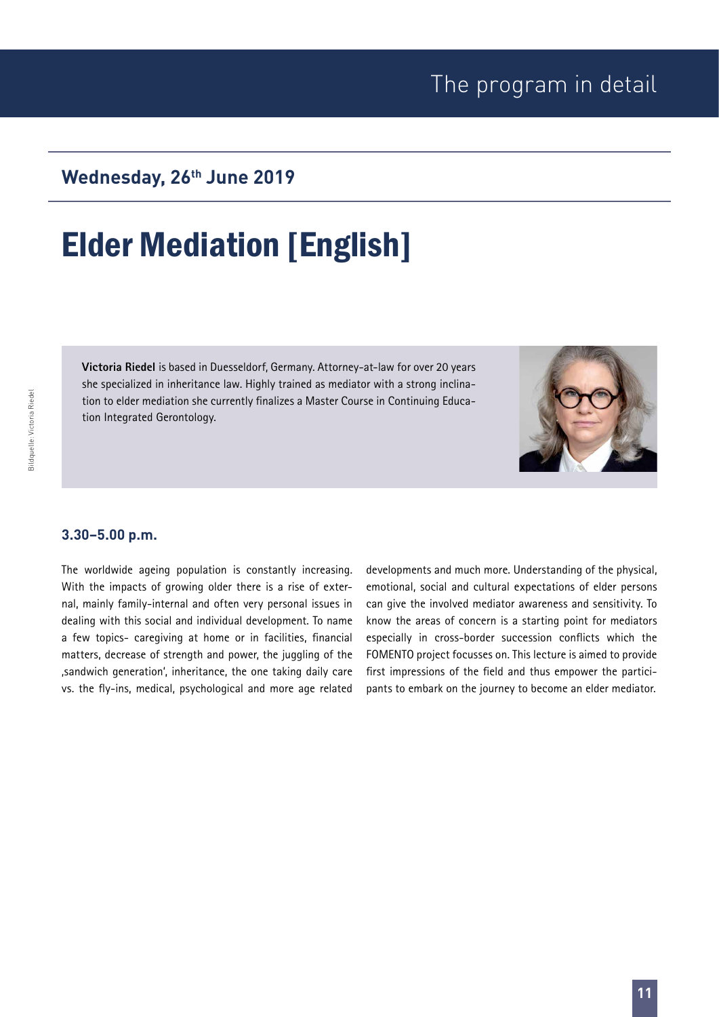Bildquelle: Victoria Riedel

Bildquelle: Victoria Riedel

### Wednesday, 26<sup>th</sup> June 2019

## Elder Mediation [English]

**Victoria Riedel** is based in Duesseldorf, Germany. Attorney-at-law for over 20 years she specialized in inheritance law. Highly trained as mediator with a strong inclination to elder mediation she currently finalizes a Master Course in Continuing Education Integrated Gerontology.

#### **3.30–5.00 p.m.**

The worldwide ageing population is constantly increasing. With the impacts of growing older there is a rise of external, mainly family-internal and often very personal issues in dealing with this social and individual development. To name a few topics- caregiving at home or in facilities, financial matters, decrease of strength and power, the juggling of the , sandwich generation', inheritance, the one taking daily care vs. the fly-ins, medical, psychological and more age related developments and much more. Understanding of the physical, emotional, social and cultural expectations of elder persons can give the involved mediator awareness and sensitivity. To know the areas of concern is a starting point for mediators especially in cross-border succession conflicts which the FOMENTO project focusses on. This lecture is aimed to provide first impressions of the field and thus empower the participants to embark on the journey to become an elder mediator.

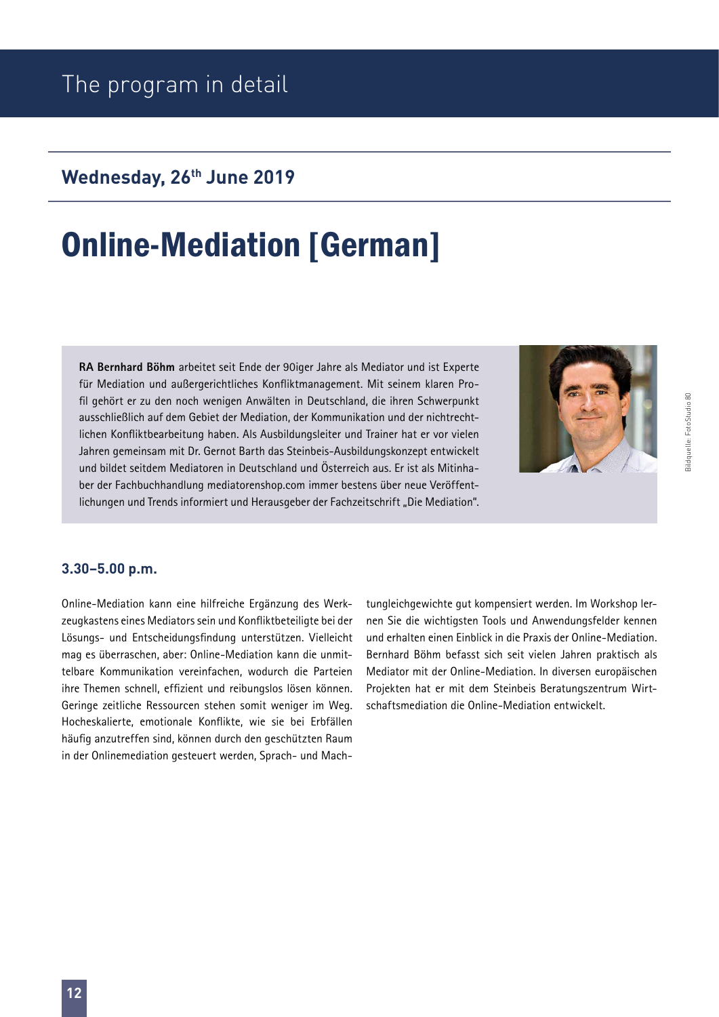### The program in detail

### Wednesday, 26<sup>th</sup> June 2019

## Online-Mediation [German]

**RA Bernhard Böhm** arbeitet seit Ende der 90iger Jahre als Mediator und ist Experte für Mediation und außergerichtliches Konfliktmanagement. Mit seinem klaren Profil gehört er zu den noch wenigen Anwälten in Deutschland, die ihren Schwerpunkt ausschließlich auf dem Gebiet der Mediation, der Kommunikation und der nichtrechtlichen Konfliktbearbeitung haben. Als Ausbildungsleiter und Trainer hat er vor vielen Jahren gemeinsam mit Dr. Gernot Barth das Steinbeis-Ausbildungskonzept entwickelt und bildet seitdem Mediatoren in Deutschland und Österreich aus. Er ist als Mitinhaber der Fachbuchhandlung mediatorenshop.com immer bestens über neue Veröffentlichungen und Trends informiert und Herausgeber der Fachzeitschrift "Die Mediation".

#### **3.30–5.00 p.m.**

Online-Mediation kann eine hilfreiche Ergänzung des Werkzeugkastens eines Mediators sein und Konfliktbeteiligte bei der Lösungs- und Entscheidungsfindung unterstützen. Vielleicht mag es überraschen, aber: Online-Mediation kann die unmittelbare Kommunikation vereinfachen, wodurch die Parteien ihre Themen schnell, effizient und reibungslos lösen können. Geringe zeitliche Ressourcen stehen somit weniger im Weg. Hocheskalierte, emotionale Konflikte, wie sie bei Erbfällen häufig anzutreffen sind, können durch den geschützten Raum in der Onlinemediation gesteuert werden, Sprach- und Machtungleichgewichte gut kompensiert werden. Im Workshop lernen Sie die wichtigsten Tools und Anwendungsfelder kennen und erhalten einen Einblick in die Praxis der Online-Mediation. Bernhard Böhm befasst sich seit vielen Jahren praktisch als Mediator mit der Online-Mediation. In diversen europäischen Projekten hat er mit dem Steinbeis Beratungszentrum Wirtschaftsmediation die Online-Mediation entwickelt.